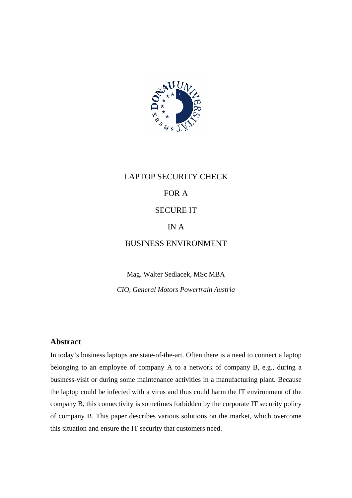

# LAPTOP SECURITY CHECK FOR A SECURE IT IN A BUSINESS ENVIRONMENT

Mag. Walter Sedlacek, MSc MBA *CIO, General Motors Powertrain Austria* 

## **Abstract**

In today's business laptops are state-of-the-art. Often there is a need to connect a laptop belonging to an employee of company A to a network of company B, e.g., during a business-visit or during some maintenance activities in a manufacturing plant. Because the laptop could be infected with a virus and thus could harm the IT environment of the company B, this connectivity is sometimes forbidden by the corporate IT security policy of company B. This paper describes various solutions on the market, which overcome this situation and ensure the IT security that customers need.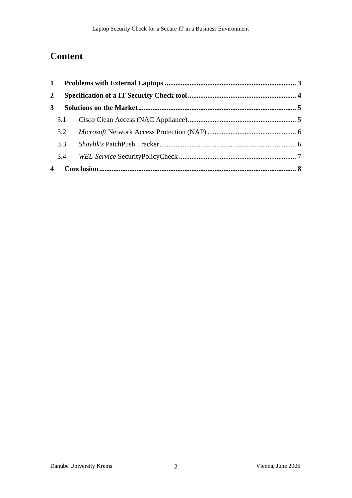# **Content**

| $\mathbf{2}$   |     |  |  |
|----------------|-----|--|--|
| 3 <sup>1</sup> |     |  |  |
|                | 3.1 |  |  |
|                | 3.2 |  |  |
|                | 3.3 |  |  |
|                | 3.4 |  |  |
| 4              |     |  |  |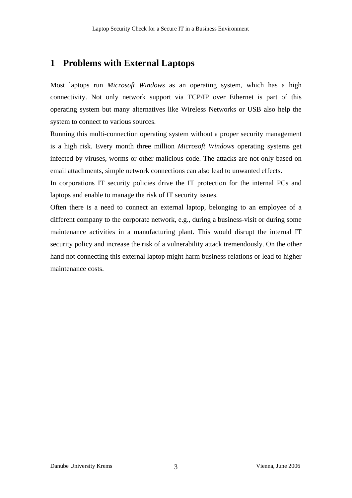# **1 Problems with External Laptops**

Most laptops run *Microsoft Windows* as an operating system, which has a high connectivity. Not only network support via TCP/IP over Ethernet is part of this operating system but many alternatives like Wireless Networks or USB also help the system to connect to various sources.

Running this multi-connection operating system without a proper security management is a high risk. Every month three million *Microsoft Windows* operating systems get infected by viruses, worms or other malicious code. The attacks are not only based on email attachments, simple network connections can also lead to unwanted effects.

In corporations IT security policies drive the IT protection for the internal PCs and laptops and enable to manage the risk of IT security issues.

Often there is a need to connect an external laptop, belonging to an employee of a different company to the corporate network, e.g., during a business-visit or during some maintenance activities in a manufacturing plant. This would disrupt the internal IT security policy and increase the risk of a vulnerability attack tremendously. On the other hand not connecting this external laptop might harm business relations or lead to higher maintenance costs.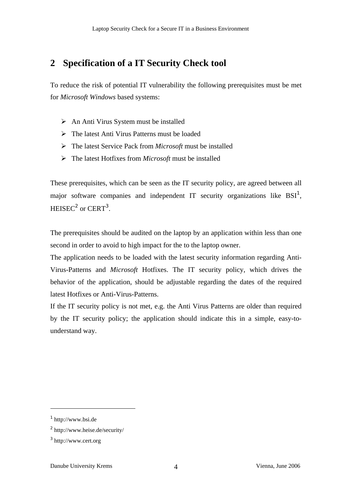# **2 Specification of a IT Security Check tool**

To reduce the risk of potential IT vulnerability the following prerequisites must be met for *Microsoft Windows* based systems:

- $\triangleright$  An Anti Virus System must be installed
- $\triangleright$  The latest Anti Virus Patterns must be loaded
- ¾ The latest Service Pack from *Microsoft* must be installed
- ¾ The latest Hotfixes from *Microsoft* must be installed

These prerequisites, which can be seen as the IT security policy, are agreed between all major software companies and independent IT security organizations like  $BSI<sup>1</sup>$ ,  $HEISEC<sup>2</sup>$  or  $CERT<sup>3</sup>$ .

The prerequisites should be audited on the laptop by an application within less than one second in order to avoid to high impact for the to the laptop owner.

The application needs to be loaded with the latest security information regarding Anti-Virus-Patterns and *Microsoft* Hotfixes. The IT security policy, which drives the behavior of the application, should be adjustable regarding the dates of the required latest Hotfixes or Anti-Virus-Patterns.

If the IT security policy is not met, e.g. the Anti Virus Patterns are older than required by the IT security policy; the application should indicate this in a simple, easy-tounderstand way.

<sup>1</sup> http://www.bsi.de

<sup>2</sup> http://www.heise.de/security/

<sup>3</sup> http://www.cert.org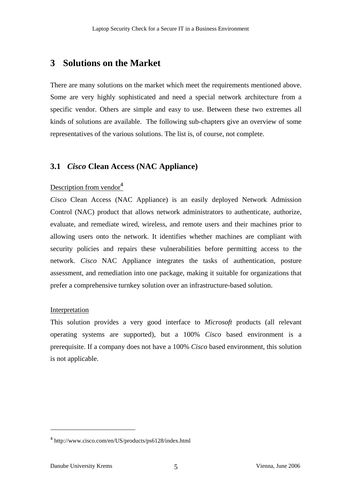# **3 Solutions on the Market**

There are many solutions on the market which meet the requirements mentioned above. Some are very highly sophisticated and need a special network architecture from a specific vendor. Others are simple and easy to use. Between these two extremes all kinds of solutions are available. The following sub-chapters give an overview of some representatives of the various solutions. The list is, of course, not complete.

## **3.1** *Cisco* **Clean Access (NAC Appliance)**

#### Description from vendor $4$

*Cisco* Clean Access (NAC Appliance) is an easily deployed Network Admission Control (NAC) product that allows network administrators to authenticate, authorize, evaluate, and remediate wired, wireless, and remote users and their machines prior to allowing users onto the network. It identifies whether machines are compliant with security policies and repairs these vulnerabilities before permitting access to the network. *Cisco* NAC Appliance integrates the tasks of authentication, posture assessment, and remediation into one package, making it suitable for organizations that prefer a comprehensive turnkey solution over an infrastructure-based solution.

#### Interpretation

This solution provides a very good interface to *Microsoft* products (all relevant operating systems are supported), but a 100% *Cisco* based environment is a prerequisite. If a company does not have a 100% *Cisco* based environment, this solution is not applicable.

<sup>4</sup> http://www.cisco.com/en/US/products/ps6128/index.html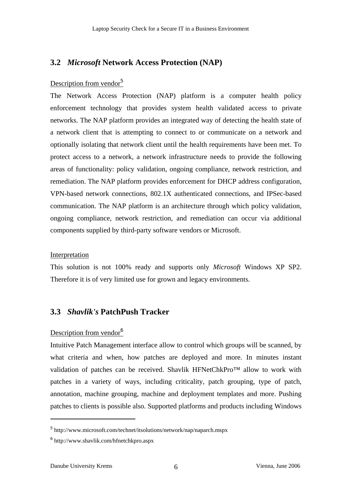## **3.2** *Microsoft* **Network Access Protection (NAP)**

### Description from vendor<sup>5</sup>

The Network Access Protection (NAP) platform is a computer health policy enforcement technology that provides system health validated access to private networks. The NAP platform provides an integrated way of detecting the health state of a network client that is attempting to connect to or communicate on a network and optionally isolating that network client until the health requirements have been met. To protect access to a network, a network infrastructure needs to provide the following areas of functionality: policy validation, ongoing compliance, network restriction, and remediation. The NAP platform provides enforcement for DHCP address configuration, VPN-based network connections, 802.1X authenticated connections, and IPSec-based communication. The NAP platform is an architecture through which policy validation, ongoing compliance, network restriction, and remediation can occur via additional components supplied by third-party software vendors or Microsoft.

#### Interpretation

This solution is not 100% ready and supports only *Microsoft* Windows XP SP2. Therefore it is of very limited use for grown and legacy environments.

## **3.3** *Shavlik's* **PatchPush Tracker**

#### Description from vendor<sup>6</sup>

Intuitive Patch Management interface allow to control which groups will be scanned, by what criteria and when, how patches are deployed and more. In minutes instant validation of patches can be received. Shavlik HFNetChkPro™ allow to work with patches in a variety of ways, including criticality, patch grouping, type of patch, annotation, machine grouping, machine and deployment templates and more. Pushing patches to clients is possible also. Supported platforms and products including Windows

<sup>5</sup> http://www.microsoft.com/technet/itsolutions/network/nap/naparch.mspx

<sup>6</sup> http://www.shavlik.com/hfnetchkpro.aspx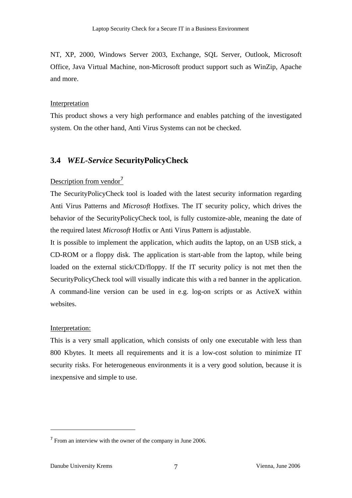NT, XP, 2000, Windows Server 2003, Exchange, SQL Server, Outlook, Microsoft Office, Java Virtual Machine, non-Microsoft product support such as WinZip, Apache and more.

#### **Interpretation**

This product shows a very high performance and enables patching of the investigated system. On the other hand, Anti Virus Systems can not be checked.

#### **3.4** *WEL-Service* **SecurityPolicyCheck**

#### Description from vendor $<sup>7</sup>$ </sup>

The SecurityPolicyCheck tool is loaded with the latest security information regarding Anti Virus Patterns and *Microsoft* Hotfixes. The IT security policy, which drives the behavior of the SecurityPolicyCheck tool, is fully customize-able, meaning the date of the required latest *Microsoft* Hotfix or Anti Virus Pattern is adjustable.

It is possible to implement the application, which audits the laptop, on an USB stick, a CD-ROM or a floppy disk. The application is start-able from the laptop, while being loaded on the external stick/CD/floppy. If the IT security policy is not met then the SecurityPolicyCheck tool will visually indicate this with a red banner in the application. A command-line version can be used in e.g. log-on scripts or as ActiveX within websites.

#### Interpretation:

This is a very small application, which consists of only one executable with less than 800 Kbytes. It meets all requirements and it is a low-cost solution to minimize IT security risks. For heterogeneous environments it is a very good solution, because it is inexpensive and simple to use.

<sup>&</sup>lt;sup>7</sup> From an interview with the owner of the company in June 2006.